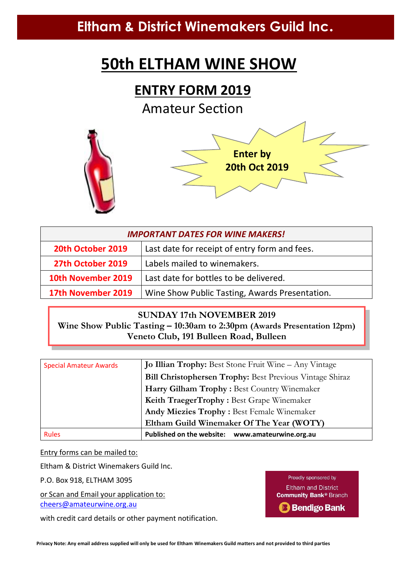## **Eltham & District Winemakers Guild Inc.**

# **50th ELTHAM WINE SHOW**

## **ENTRY FORM 2019**

Amateur Section



 **Enter by 20th Oct 2019**

| <b>IMPORTANT DATES FOR WINE MAKERS!</b>                              |                                               |  |
|----------------------------------------------------------------------|-----------------------------------------------|--|
| 20th October 2019                                                    | Last date for receipt of entry form and fees. |  |
| 27th October 2019                                                    | Labels mailed to winemakers.                  |  |
| 10th November 2019                                                   | Last date for bottles to be delivered.        |  |
| 17th November 2019<br>Wine Show Public Tasting, Awards Presentation. |                                               |  |

#### **SUNDAY 17th NOVEMBER 2019**

**Wine Show Public Tasting – 10:30am to 2:30pm (Awards Presentation 12pm) Veneto Club, 191 Bulleen Road, Bulleen** 

| <b>Special Amateur Awards</b> | Jo Illian Trophy: Best Stone Fruit Wine - Any Vintage    |  |  |
|-------------------------------|----------------------------------------------------------|--|--|
|                               | Bill Christophersen Trophy: Best Previous Vintage Shiraz |  |  |
|                               | Harry Gilham Trophy: Best Country Winemaker              |  |  |
|                               | Keith TraegerTrophy: Best Grape Winemaker                |  |  |
|                               | Andy Miezies Trophy : Best Female Winemaker              |  |  |
|                               | Eltham Guild Winemaker Of The Year (WOTY)                |  |  |
| <b>Rules</b>                  | Published on the website: www.amateurwine.org.au         |  |  |

Entry forms can be mailed to:

Eltham & District Winemakers Guild Inc.

P.O. Box 918, ELTHAM 3095

or Scan and Email your application to: [cheers@amateurwine.org.](mailto:cheers@amateurwine.org)au

with credit card details or other payment notification.

Proudly sponsored by **Eltham and District Community Bank® Branch B** Bendigo Bank

**Privacy Note: Any email address supplied will only be used for Eltham Winemakers Guild matters and not provided to third parties**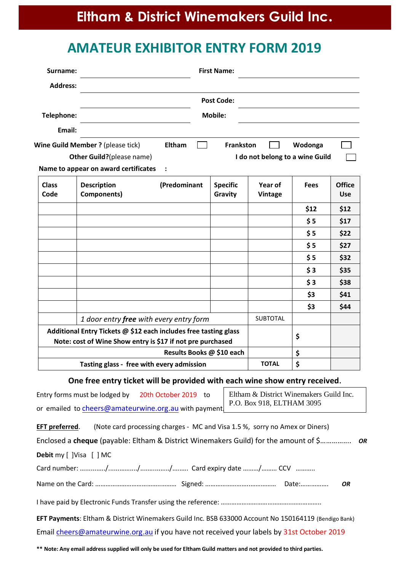### **AMATEUR EXHIBITOR ENTRY FORM 2019**

| Surname:             |                                                                                                                                |                      |  | <b>First Name:</b>         |                                                                      |             |                             |
|----------------------|--------------------------------------------------------------------------------------------------------------------------------|----------------------|--|----------------------------|----------------------------------------------------------------------|-------------|-----------------------------|
| <b>Address:</b>      |                                                                                                                                |                      |  |                            |                                                                      |             |                             |
|                      |                                                                                                                                |                      |  | <b>Post Code:</b>          |                                                                      |             |                             |
| Telephone:           |                                                                                                                                |                      |  | <b>Mobile:</b>             |                                                                      |             |                             |
| Email:               |                                                                                                                                |                      |  |                            |                                                                      |             |                             |
|                      | Wine Guild Member ? (please tick)                                                                                              | Eltham               |  | <b>Frankston</b>           |                                                                      | Wodonga     |                             |
|                      | Other Guild?(please name)                                                                                                      |                      |  |                            | I do not belong to a wine Guild                                      |             |                             |
|                      | Name to appear on award certificates                                                                                           | :                    |  |                            |                                                                      |             |                             |
| <b>Class</b><br>Code | <b>Description</b><br>Components)                                                                                              | (Predominant         |  | <b>Specific</b><br>Gravity | Year of<br><b>Vintage</b>                                            | <b>Fees</b> | <b>Office</b><br><b>Use</b> |
|                      |                                                                                                                                |                      |  |                            |                                                                      | \$12        | \$12                        |
|                      |                                                                                                                                |                      |  |                            |                                                                      | \$5         | \$17                        |
|                      |                                                                                                                                |                      |  |                            |                                                                      | \$5         | \$22                        |
|                      |                                                                                                                                |                      |  |                            |                                                                      | \$5         | \$27                        |
|                      |                                                                                                                                |                      |  |                            |                                                                      | \$5         | \$32                        |
|                      |                                                                                                                                |                      |  |                            |                                                                      | \$3         | \$35                        |
|                      |                                                                                                                                |                      |  |                            |                                                                      | \$3         | \$38                        |
|                      |                                                                                                                                |                      |  |                            |                                                                      | \$3         | \$41                        |
|                      |                                                                                                                                |                      |  |                            |                                                                      | \$3         | \$44                        |
|                      | 1 door entry free with every entry form                                                                                        |                      |  | <b>SUBTOTAL</b>            |                                                                      |             |                             |
|                      | Additional Entry Tickets @ \$12 each includes free tasting glass<br>Note: cost of Wine Show entry is \$17 if not pre purchased |                      |  |                            |                                                                      | \$          |                             |
|                      |                                                                                                                                |                      |  | Results Books @ \$10 each  |                                                                      | \$          |                             |
|                      | Tasting glass - free with every admission                                                                                      |                      |  |                            | <b>TOTAL</b>                                                         | \$          |                             |
|                      | One free entry ticket will be provided with each wine show entry received.                                                     |                      |  |                            |                                                                      |             |                             |
|                      | Entry forms must be lodged by<br>or emailed to cheers@amateurwine.org.au with payment.                                         | 20th October 2019 to |  |                            | Eltham & District Winemakers Guild Inc.<br>P.O. Box 918, ELTHAM 3095 |             |                             |

**EFT preferred**. (Note card processing charges - MC and Visa 1.5 %, sorry no Amex or Diners)

Enclosed a **cheque** (payable: Eltham & District Winemakers Guild) for the amount of \$………….... *OR*

**Debit** my [ ]Visa [ ] MC

Card number: …......…../......……..../....…....…../…..…. Card expiry date ………/……… CCV ………..

Name on the Card: ………………………………..……… Signed: ……………………..…………… Date:……………. *OR*

I have paid by Electronic Funds Transfer using the reference: …………………………………..……………..

**EFT Payments**: Eltham & District Winemakers Guild Inc. BSB 633000 Account No 150164119 (Bendigo Bank) Email [cheers@amateurwine.org.](mailto:cheers@amateurwine.org)au if you have not received your labels by 31st October 2019

**\*\* Note: Any email address supplied will only be used for Eltham Guild matters and not provided to third parties.**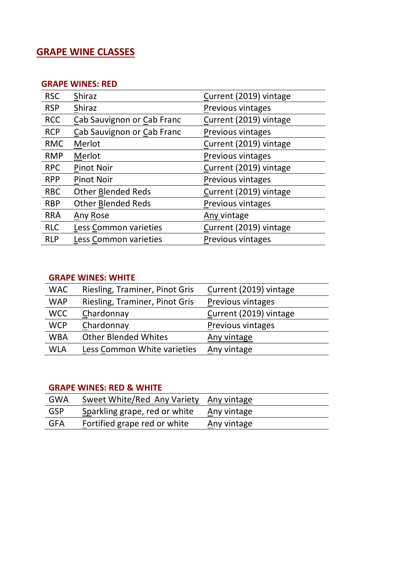### **GRAPE WINE CLASSES**

#### **GRAPE WINES: RED**

| <b>RSC</b> | <b>Shiraz</b>              | Current (2019) vintage |
|------------|----------------------------|------------------------|
| <b>RSP</b> | <b>Shiraz</b>              | Previous vintages      |
| <b>RCC</b> | Cab Sauvignon or Cab Franc | Current (2019) vintage |
| <b>RCP</b> | Cab Sauvignon or Cab Franc | Previous vintages      |
| <b>RMC</b> | Merlot                     | Current (2019) vintage |
| <b>RMP</b> | Merlot                     | Previous vintages      |
| <b>RPC</b> | <b>Pinot Noir</b>          | Current (2019) vintage |
| <b>RPP</b> | <b>Pinot Noir</b>          | Previous vintages      |
| <b>RBC</b> | <b>Other Blended Reds</b>  | Current (2019) vintage |
| <b>RBP</b> | <b>Other Blended Reds</b>  | Previous vintages      |
| <b>RRA</b> | <b>Any Rose</b>            | Any vintage            |
| <b>RLC</b> | Less Common varieties      | Current (2019) vintage |
| <b>RLP</b> | Less Common varieties      | Previous vintages      |

#### **GRAPE WINES: WHITE**

| <b>WAC</b> | Riesling, Traminer, Pinot Gris | Current (2019) vintage |
|------------|--------------------------------|------------------------|
| <b>WAP</b> | Riesling, Traminer, Pinot Gris | Previous vintages      |
| <b>WCC</b> | Chardonnay                     | Current (2019) vintage |
| <b>WCP</b> | Chardonnay                     | Previous vintages      |
| <b>WBA</b> | <b>Other Blended Whites</b>    | Any vintage            |
| <b>WLA</b> | Less Common White varieties    | Any vintage            |

#### **GRAPE WINES: RED & WHITE**

| GWA        | Sweet White/Red Any Variety Any vintage |             |
|------------|-----------------------------------------|-------------|
| <b>GSP</b> | Sparkling grape, red or white           | Any vintage |
| <b>GFA</b> | Fortified grape red or white            | Any vintage |